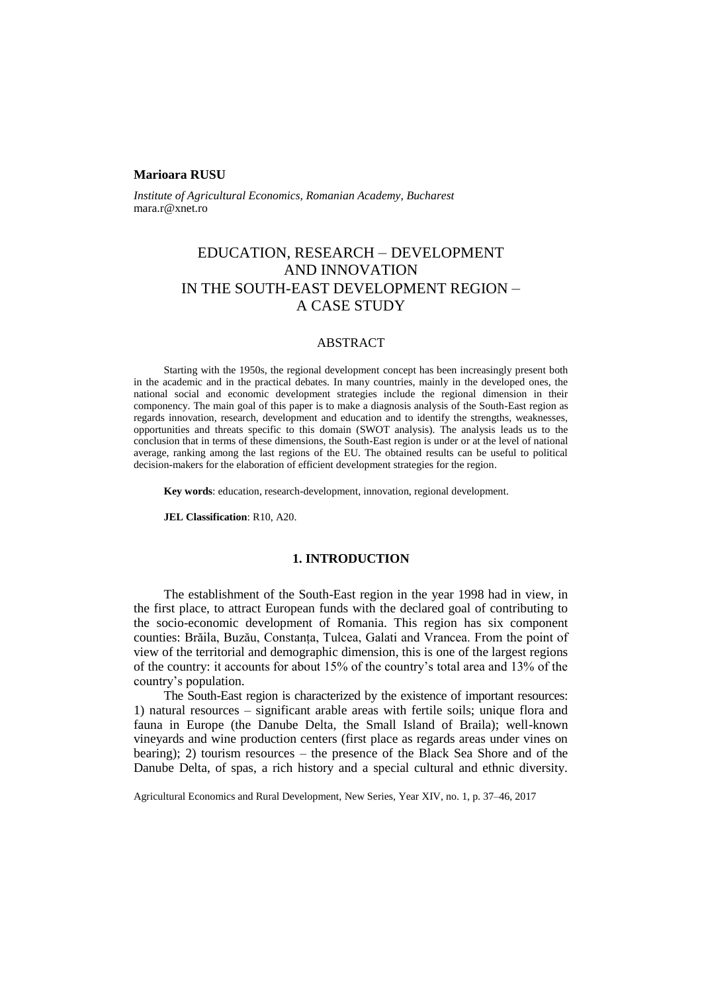#### **Marioara RUSU**

*Institute of Agricultural Economics, Romanian Academy, Bucharest* mara.r@xnet.ro

# EDUCATION, RESEARCH – DEVELOPMENT AND INNOVATION IN THE SOUTH-EAST DEVELOPMENT REGION – A CASE STUDY

### ABSTRACT

Starting with the 1950s, the regional development concept has been increasingly present both in the academic and in the practical debates. In many countries, mainly in the developed ones, the national social and economic development strategies include the regional dimension in their componency. The main goal of this paper is to make a diagnosis analysis of the South-East region as regards innovation, research, development and education and to identify the strengths, weaknesses, opportunities and threats specific to this domain (SWOT analysis). The analysis leads us to the conclusion that in terms of these dimensions, the South-East region is under or at the level of national average, ranking among the last regions of the EU. The obtained results can be useful to political decision-makers for the elaboration of efficient development strategies for the region.

**Key words**: education, research-development, innovation, regional development.

**JEL Classification**: R10, A20.

#### **1. INTRODUCTION**

The establishment of the South-East region in the year 1998 had in view, in the first place, to attract European funds with the declared goal of contributing to the socio-economic development of Romania. This region has six component counties: Brăila, Buzău, Constanța, Tulcea, Galati and Vrancea. From the point of view of the territorial and demographic dimension, this is one of the largest regions of the country: it accounts for about 15% of the country's total area and 13% of the country's population.

The South-East region is characterized by the existence of important resources: 1) natural resources – significant arable areas with fertile soils; unique flora and fauna in Europe (the Danube Delta, the Small Island of Braila); well-known vineyards and wine production centers (first place as regards areas under vines on bearing); 2) tourism resources – the presence of the Black Sea Shore and of the Danube Delta, of spas, a rich history and a special cultural and ethnic diversity.

Agricultural Economics and Rural Development, New Series, Year XIV, no. 1, p. 37–46, 2017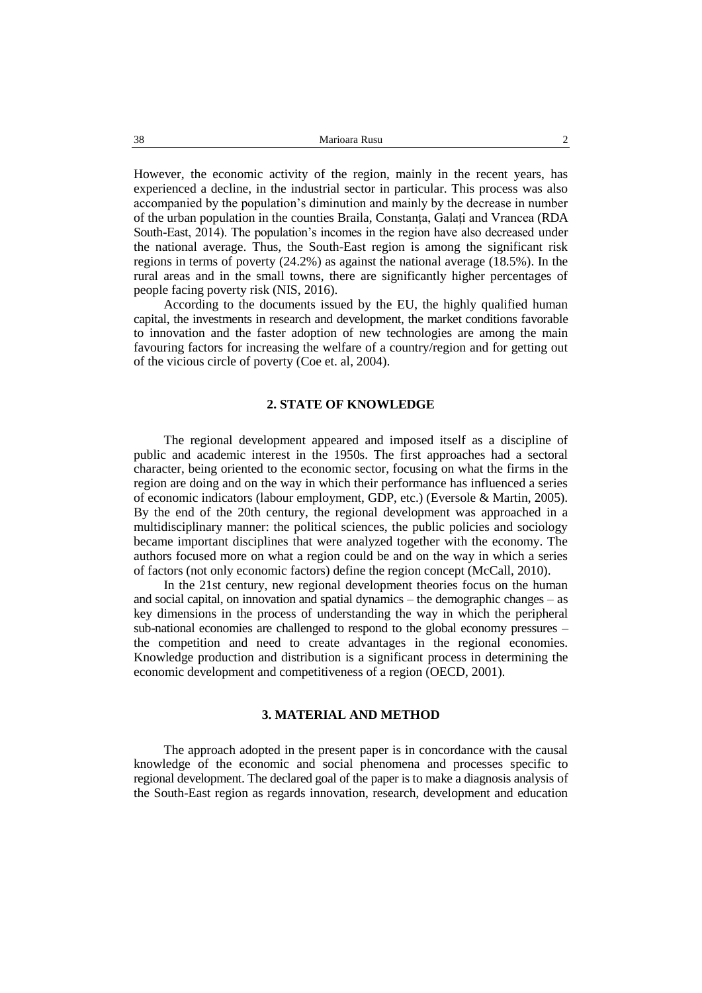However, the economic activity of the region, mainly in the recent years, has experienced a decline, in the industrial sector in particular. This process was also accompanied by the population's diminution and mainly by the decrease in number of the urban population in the counties Braila, Constanța, Galați and Vrancea (RDA South-East, 2014). The population's incomes in the region have also decreased under the national average. Thus, the South-East region is among the significant risk regions in terms of poverty (24.2%) as against the national average (18.5%). In the rural areas and in the small towns, there are significantly higher percentages of people facing poverty risk (NIS, 2016).

According to the documents issued by the EU, the highly qualified human capital, the investments in research and development, the market conditions favorable to innovation and the faster adoption of new technologies are among the main favouring factors for increasing the welfare of a country/region and for getting out of the vicious circle of poverty (Coe et. al, 2004).

#### **2. STATE OF KNOWLEDGE**

The regional development appeared and imposed itself as a discipline of public and academic interest in the 1950s. The first approaches had a sectoral character, being oriented to the economic sector, focusing on what the firms in the region are doing and on the way in which their performance has influenced a series of economic indicators (labour employment, GDP, etc.) (Eversole & Martin, 2005). By the end of the 20th century, the regional development was approached in a multidisciplinary manner: the political sciences, the public policies and sociology became important disciplines that were analyzed together with the economy. The authors focused more on what a region could be and on the way in which a series of factors (not only economic factors) define the region concept (McCall, 2010).

In the 21st century, new regional development theories focus on the human and social capital, on innovation and spatial dynamics – the demographic changes – as key dimensions in the process of understanding the way in which the peripheral sub-national economies are challenged to respond to the global economy pressures – the competition and need to create advantages in the regional economies. Knowledge production and distribution is a significant process in determining the economic development and competitiveness of a region (OECD, 2001).

### **3. MATERIAL AND METHOD**

The approach adopted in the present paper is in concordance with the causal knowledge of the economic and social phenomena and processes specific to regional development. The declared goal of the paper is to make a diagnosis analysis of the South-East region as regards innovation, research, development and education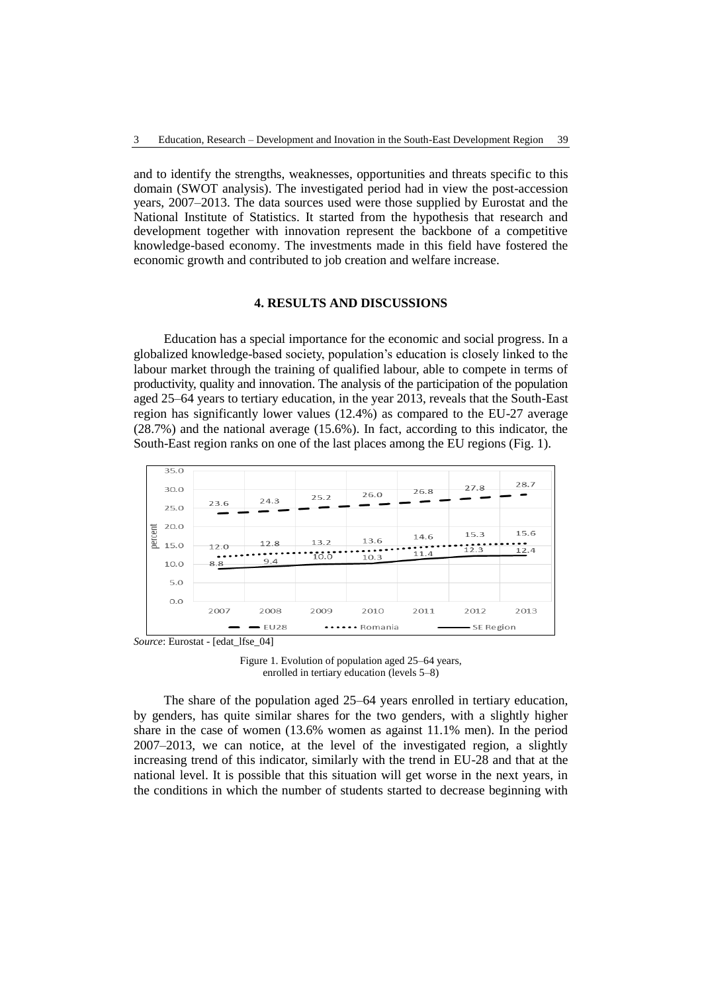and to identify the strengths, weaknesses, opportunities and threats specific to this domain (SWOT analysis). The investigated period had in view the post-accession years, 2007–2013. The data sources used were those supplied by Eurostat and the National Institute of Statistics. It started from the hypothesis that research and development together with innovation represent the backbone of a competitive knowledge-based economy. The investments made in this field have fostered the economic growth and contributed to job creation and welfare increase.

#### **4. RESULTS AND DISCUSSIONS**

Education has a special importance for the economic and social progress. In a globalized knowledge-based society, population's education is closely linked to the labour market through the training of qualified labour, able to compete in terms of productivity, quality and innovation. The analysis of the participation of the population aged 25–64 years to tertiary education, in the year 2013, reveals that the South-East region has significantly lower values (12.4%) as compared to the EU-27 average (28.7%) and the national average (15.6%). In fact, according to this indicator, the South-East region ranks on one of the last places among the EU regions (Fig. 1).



Figure 1. Evolution of population aged 25–64 years, enrolled in tertiary education (levels 5–8)

The share of the population aged 25–64 years enrolled in tertiary education, by genders, has quite similar shares for the two genders, with a slightly higher share in the case of women (13.6% women as against 11.1% men). In the period 2007–2013, we can notice, at the level of the investigated region, a slightly increasing trend of this indicator, similarly with the trend in EU-28 and that at the national level. It is possible that this situation will get worse in the next years, in the conditions in which the number of students started to decrease beginning with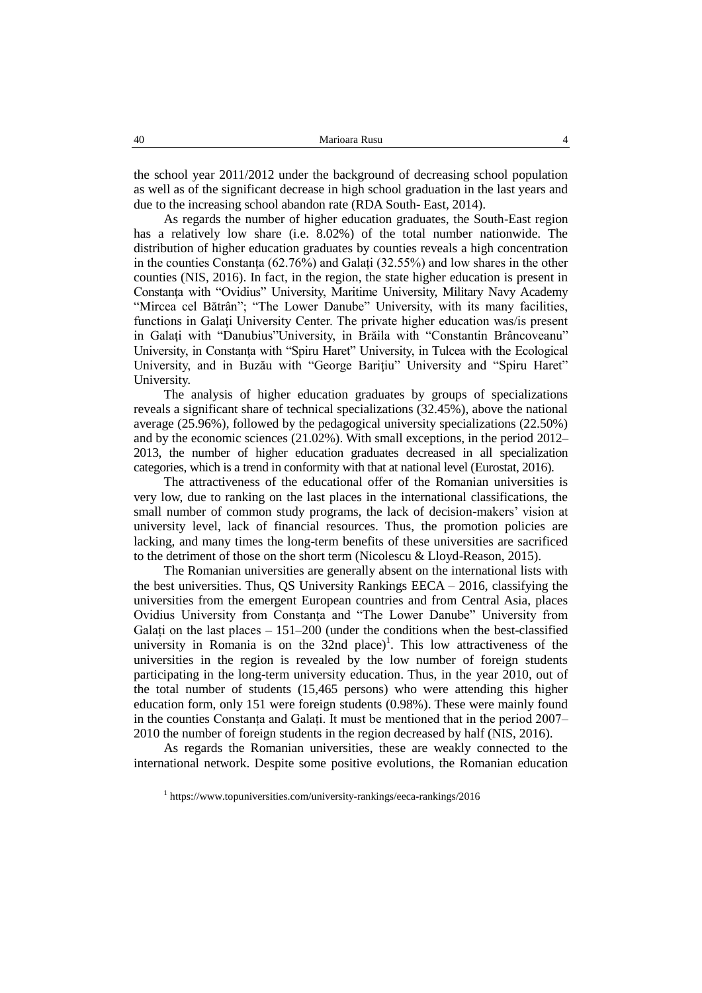the school year 2011/2012 under the background of decreasing school population as well as of the significant decrease in high school graduation in the last years and due to the increasing school abandon rate (RDA South- East, 2014).

As regards the number of higher education graduates, the South-East region has a relatively low share (i.e. 8.02%) of the total number nationwide. The distribution of higher education graduates by counties reveals a high concentration in the counties Constanța (62.76%) and Galați (32.55%) and low shares in the other counties (NIS, 2016). In fact, in the region, the state higher education is present in Constanţa with "Ovidius" University, Maritime University, Military Navy Academy "Mircea cel Bătrân"; "The Lower Danube" University, with its many facilities, functions in Galați University Center. The private higher education was/is present in Galaţi with "Danubius"University, in Brăila with "Constantin Brâncoveanu" University, in Constanţa with "Spiru Haret" University, in Tulcea with the Ecological University, and in Buzău with "George Bariţiu" University and "Spiru Haret" University.

The analysis of higher education graduates by groups of specializations reveals a significant share of technical specializations (32.45%), above the national average (25.96%), followed by the pedagogical university specializations (22.50%) and by the economic sciences (21.02%). With small exceptions, in the period 2012– 2013, the number of higher education graduates decreased in all specialization categories, which is a trend in conformity with that at national level (Eurostat, 2016).

The attractiveness of the educational offer of the Romanian universities is very low, due to ranking on the last places in the international classifications, the small number of common study programs, the lack of decision-makers' vision at university level, lack of financial resources. Thus, the promotion policies are lacking, and many times the long-term benefits of these universities are sacrificed to the detriment of those on the short term (Nicolescu & Lloyd-Reason, 2015).

The Romanian universities are generally absent on the international lists with the best universities. Thus, QS University Rankings EECA – 2016, classifying the universities from the emergent European countries and from Central Asia, places Ovidius University from Constanța and "The Lower Danube" University from Galați on the last places  $-151-200$  (under the conditions when the best-classified university in Romania is on the  $32$ nd place)<sup>1</sup>. This low attractiveness of the universities in the region is revealed by the low number of foreign students participating in the long-term university education. Thus, in the year 2010, out of the total number of students (15,465 persons) who were attending this higher education form, only 151 were foreign students (0.98%). These were mainly found in the counties Constanța and Galați. It must be mentioned that in the period 2007– 2010 the number of foreign students in the region decreased by half (NIS, 2016).

As regards the Romanian universities, these are weakly connected to the international network. Despite some positive evolutions, the Romanian education

<sup>1</sup> https://www.topuniversities.com/university-rankings/eeca-rankings/2016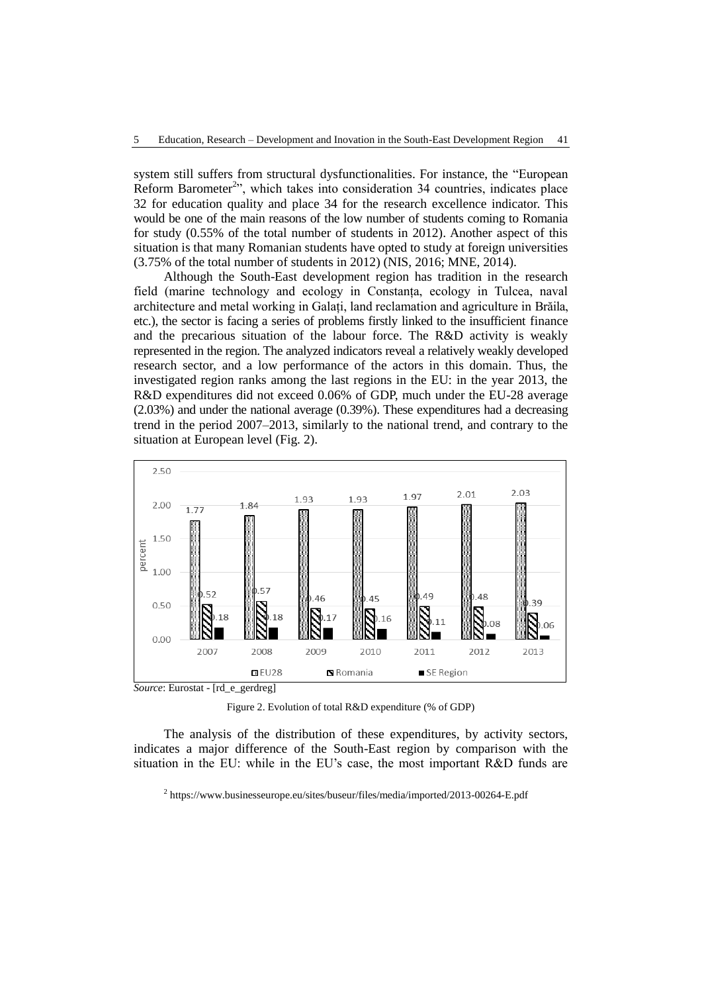system still suffers from structural dysfunctionalities. For instance, the "European Reform Barometer<sup>2</sup>", which takes into consideration 34 countries, indicates place 32 for education quality and place 34 for the research excellence indicator. This would be one of the main reasons of the low number of students coming to Romania for study (0.55% of the total number of students in 2012). Another aspect of this situation is that many Romanian students have opted to study at foreign universities (3.75% of the total number of students in 2012) (NIS, 2016; MNE, 2014).

Although the South-East development region has tradition in the research field (marine technology and ecology in Constanța, ecology in Tulcea, naval architecture and metal working in Galați, land reclamation and agriculture in Brăila, etc.), the sector is facing a series of problems firstly linked to the insufficient finance and the precarious situation of the labour force. The R&D activity is weakly represented in the region. The analyzed indicators reveal a relatively weakly developed research sector, and a low performance of the actors in this domain. Thus, the investigated region ranks among the last regions in the EU: in the year 2013, the R&D expenditures did not exceed 0.06% of GDP, much under the EU-28 average (2.03%) and under the national average (0.39%). These expenditures had a decreasing trend in the period 2007–2013, similarly to the national trend, and contrary to the situation at European level (Fig. 2).



Figure 2. Evolution of total R&D expenditure (% of GDP)

The analysis of the distribution of these expenditures, by activity sectors, indicates a major difference of the South-East region by comparison with the situation in the EU: while in the EU's case, the most important R&D funds are

<sup>2</sup> https://www.businesseurope.eu/sites/buseur/files/media/imported/2013-00264-E.pdf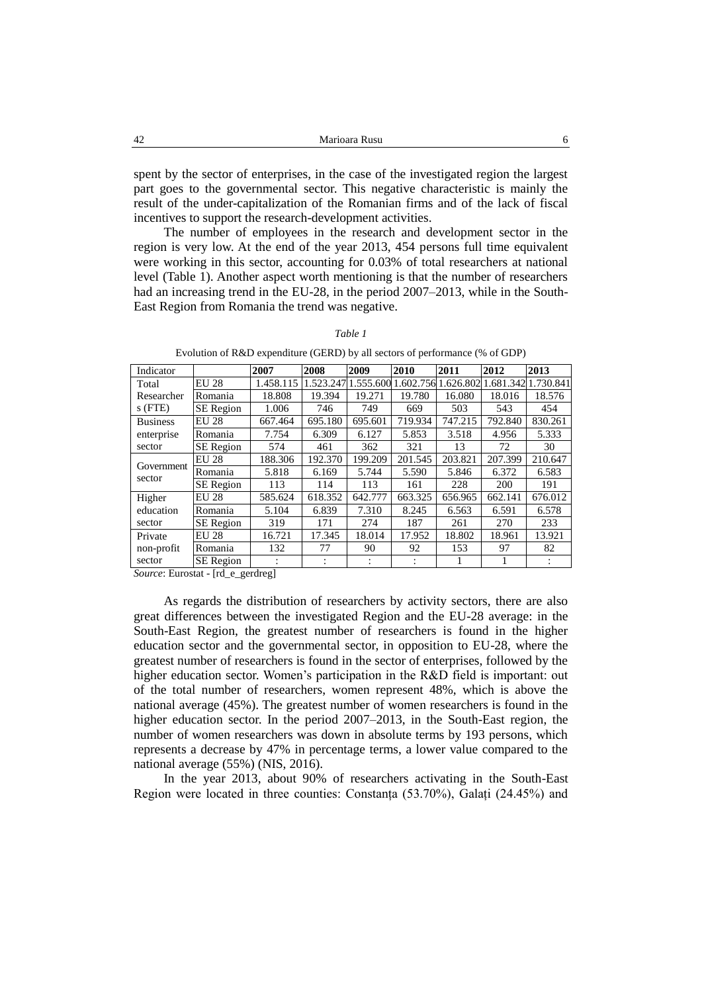spent by the sector of enterprises, in the case of the investigated region the largest part goes to the governmental sector. This negative characteristic is mainly the result of the under-capitalization of the Romanian firms and of the lack of fiscal incentives to support the research-development activities.

The number of employees in the research and development sector in the region is very low. At the end of the year 2013, 454 persons full time equivalent were working in this sector, accounting for 0.03% of total researchers at national level (Table 1). Another aspect worth mentioning is that the number of researchers had an increasing trend in the EU-28, in the period 2007–2013, while in the South-East Region from Romania the trend was negative.

| Indicator               |                  | 2007      | 2008    | 2009                | 2010    | 2011                | 2012      | 2013      |
|-------------------------|------------------|-----------|---------|---------------------|---------|---------------------|-----------|-----------|
| Total                   | <b>EU 28</b>     | 1.458.115 |         | 1.523.247 1.555.600 |         | 1.602.756 1.626.802 | 1.681.342 | 1.730.841 |
| Researcher<br>$s$ (FTE) | Romania          | 18.808    | 19.394  | 19.271              | 19.780  | 16.080              | 18.016    | 18.576    |
|                         | <b>SE</b> Region | 1.006     | 746     | 749                 | 669     | 503                 | 543       | 454       |
| <b>Business</b>         | <b>EU 28</b>     | 667.464   | 695.180 | 695.601             | 719.934 | 747.215             | 792.840   | 830.261   |
| enterprise              | Romania          | 7.754     | 6.309   | 6.127               | 5.853   | 3.518               | 4.956     | 5.333     |
| sector                  | <b>SE</b> Region | 574       | 461     | 362                 | 321     | 13                  | 72        | 30        |
| Government<br>sector    | <b>EU 28</b>     | 188.306   | 192.370 | 199.209             | 201.545 | 203.821             | 207.399   | 210.647   |
|                         | Romania          | 5.818     | 6.169   | 5.744               | 5.590   | 5.846               | 6.372     | 6.583     |
|                         | <b>SE</b> Region | 113       | 114     | 113                 | 161     | 228                 | 200       | 191       |
| Higher                  | <b>EU 28</b>     | 585.624   | 618.352 | 642.777             | 663.325 | 656.965             | 662.141   | 676.012   |
| education               | Romania          | 5.104     | 6.839   | 7.310               | 8.245   | 6.563               | 6.591     | 6.578     |
| sector                  | SE Region        | 319       | 171     | 274                 | 187     | 261                 | 270       | 233       |
| Private                 | <b>EU 28</b>     | 16.721    | 17.345  | 18.014              | 17.952  | 18.802              | 18.961    | 13.921    |
| non-profit              | Romania          | 132       | 77      | 90                  | 92      | 153                 | 97        | 82        |
| sector                  | <b>SE</b> Region |           | ٠       | ٠                   |         |                     |           |           |

*Table 1*

Evolution of R&D expenditure (GERD) by all sectors of performance (% of GDP)

*Source*: Eurostat - [rd\_e\_gerdreg]

As regards the distribution of researchers by activity sectors, there are also great differences between the investigated Region and the EU-28 average: in the South-East Region, the greatest number of researchers is found in the higher education sector and the governmental sector, in opposition to EU-28, where the greatest number of researchers is found in the sector of enterprises, followed by the higher education sector. Women's participation in the R&D field is important: out of the total number of researchers, women represent 48%, which is above the national average (45%). The greatest number of women researchers is found in the higher education sector. In the period 2007–2013, in the South-East region, the number of women researchers was down in absolute terms by 193 persons, which represents a decrease by 47% in percentage terms, a lower value compared to the national average (55%) (NIS, 2016).

In the year 2013, about 90% of researchers activating in the South-East Region were located in three counties: Constanța (53.70%), Galați (24.45%) and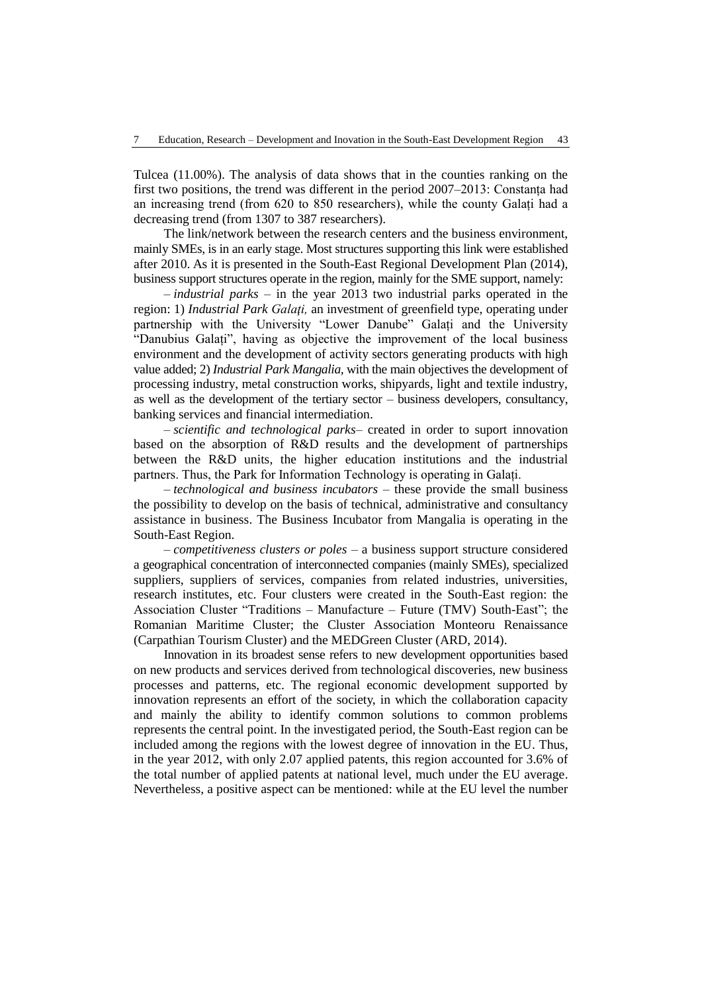Tulcea (11.00%). The analysis of data shows that in the counties ranking on the first two positions, the trend was different in the period 2007–2013: Constanța had an increasing trend (from 620 to 850 researchers), while the county Galați had a decreasing trend (from 1307 to 387 researchers).

The link/network between the research centers and the business environment, mainly SMEs, is in an early stage. Most structures supporting this link were established after 2010. As it is presented in the South-East Regional Development Plan (2014), business support structures operate in the region, mainly for the SME support, namely:

– *industrial parks* – in the year 2013 two industrial parks operated in the region: 1) *Industrial Park Galaţi,* an investment of greenfield type, operating under partnership with the University "Lower Danube" Galați and the University "Danubius Galați", having as objective the improvement of the local business environment and the development of activity sectors generating products with high value added; 2) *Industrial Park Mangalia,* with the main objectives the development of processing industry, metal construction works, shipyards, light and textile industry, as well as the development of the tertiary sector – business developers, consultancy, banking services and financial intermediation.

– *scientific and technological parks*– created in order to suport innovation based on the absorption of R&D results and the development of partnerships between the R&D units, the higher education institutions and the industrial partners. Thus, the Park for Information Technology is operating in Galați.

– *technological and business incubators* – these provide the small business the possibility to develop on the basis of technical, administrative and consultancy assistance in business. The Business Incubator from Mangalia is operating in the South-East Region.

– *competitiveness clusters or poles* – a business support structure considered a geographical concentration of interconnected companies (mainly SMEs), specialized suppliers, suppliers of services, companies from related industries, universities, research institutes, etc. Four clusters were created in the South-East region: the Association Cluster "Traditions – Manufacture – Future (TMV) South-East"; the Romanian Maritime Cluster; the Cluster Association Monteoru Renaissance (Carpathian Tourism Cluster) and the MEDGreen Cluster (ARD, 2014).

Innovation in its broadest sense refers to new development opportunities based on new products and services derived from technological discoveries, new business processes and patterns, etc. The regional economic development supported by innovation represents an effort of the society, in which the collaboration capacity and mainly the ability to identify common solutions to common problems represents the central point. In the investigated period, the South-East region can be included among the regions with the lowest degree of innovation in the EU. Thus, in the year 2012, with only 2.07 applied patents, this region accounted for 3.6% of the total number of applied patents at national level, much under the EU average. Nevertheless, a positive aspect can be mentioned: while at the EU level the number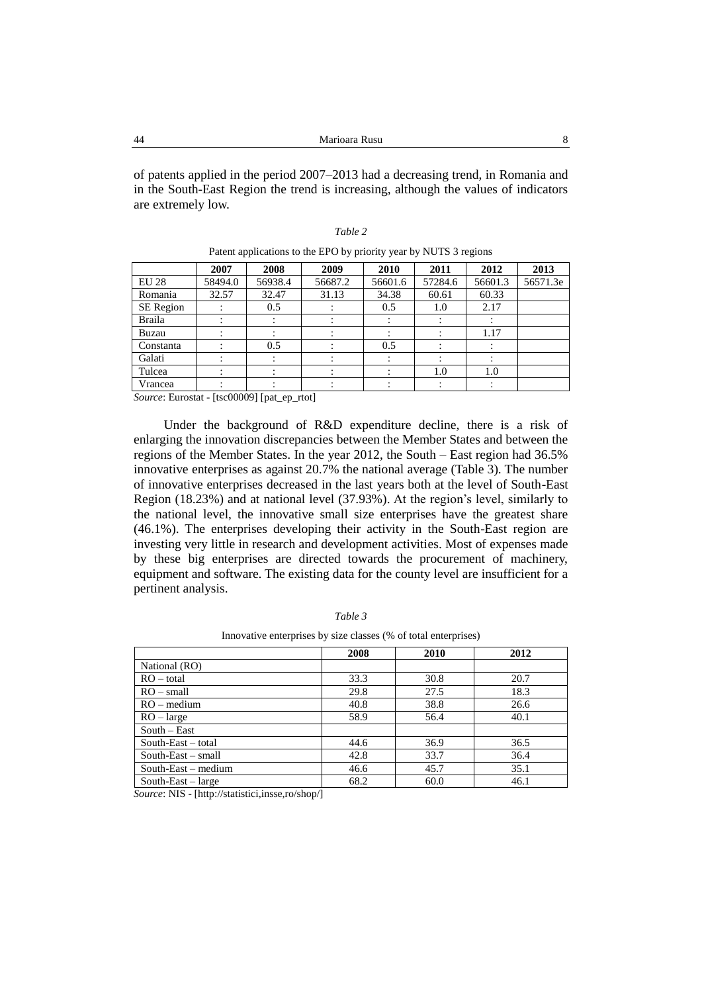of patents applied in the period 2007–2013 had a decreasing trend, in Romania and in the South-East Region the trend is increasing, although the values of indicators are extremely low.

| able |  |
|------|--|
|      |  |

|               | 2007    | 2008    | 2009    | 2010    | 2011    | 2012    | 2013     |
|---------------|---------|---------|---------|---------|---------|---------|----------|
| <b>EU 28</b>  | 58494.0 | 56938.4 | 56687.2 | 56601.6 | 57284.6 | 56601.3 | 56571.3e |
| Romania       | 32.57   | 32.47   | 31.13   | 34.38   | 60.61   | 60.33   |          |
| SE Region     |         | 0.5     |         | 0.5     | 1.0     | 2.17    |          |
| <b>Braila</b> |         |         |         |         |         |         |          |
| Buzau         |         |         |         |         |         | 1.17    |          |
| Constanta     |         | 0.5     |         | 0.5     |         |         |          |
| Galati        |         |         |         |         |         |         |          |
| Tulcea        |         |         |         |         | 1.0     | 1.0     |          |
| Vrancea       |         |         |         |         |         |         |          |

| Patent applications to the EPO by priority year by NUTS 3 regions |  |  |  |  |
|-------------------------------------------------------------------|--|--|--|--|
|-------------------------------------------------------------------|--|--|--|--|

*Source*: Eurostat - [tsc00009] [pat\_ep\_rtot]

Under the background of R&D expenditure decline, there is a risk of enlarging the innovation discrepancies between the Member States and between the regions of the Member States. In the year 2012, the South – East region had 36.5% innovative enterprises as against 20.7% the national average (Table 3). The number of innovative enterprises decreased in the last years both at the level of South-East Region (18.23%) and at national level (37.93%). At the region's level, similarly to the national level, the innovative small size enterprises have the greatest share (46.1%). The enterprises developing their activity in the South-East region are investing very little in research and development activities. Most of expenses made by these big enterprises are directed towards the procurement of machinery, equipment and software. The existing data for the county level are insufficient for a pertinent analysis.

Innovative enterprises by size classes (% of total enterprises)

|                             | 2008 | 2010 | 2012 |
|-----------------------------|------|------|------|
| National (RO)               |      |      |      |
| $RO - total$                | 33.3 | 30.8 | 20.7 |
| $RO - small$                | 29.8 | 27.5 | 18.3 |
| $RO$ – medium               | 40.8 | 38.8 | 26.6 |
| $RO - large$                | 58.9 | 56.4 | 40.1 |
| $South - East$              |      |      |      |
| South-East – total          | 44.6 | 36.9 | 36.5 |
| $South\text{-}East - small$ | 42.8 | 33.7 | 36.4 |
| South-East $-$ medium       | 46.6 | 45.7 | 35.1 |
| South-East $-$ large        | 68.2 | 60.0 | 46.1 |

*Source*: NIS - [http://statistici,insse,ro/shop/]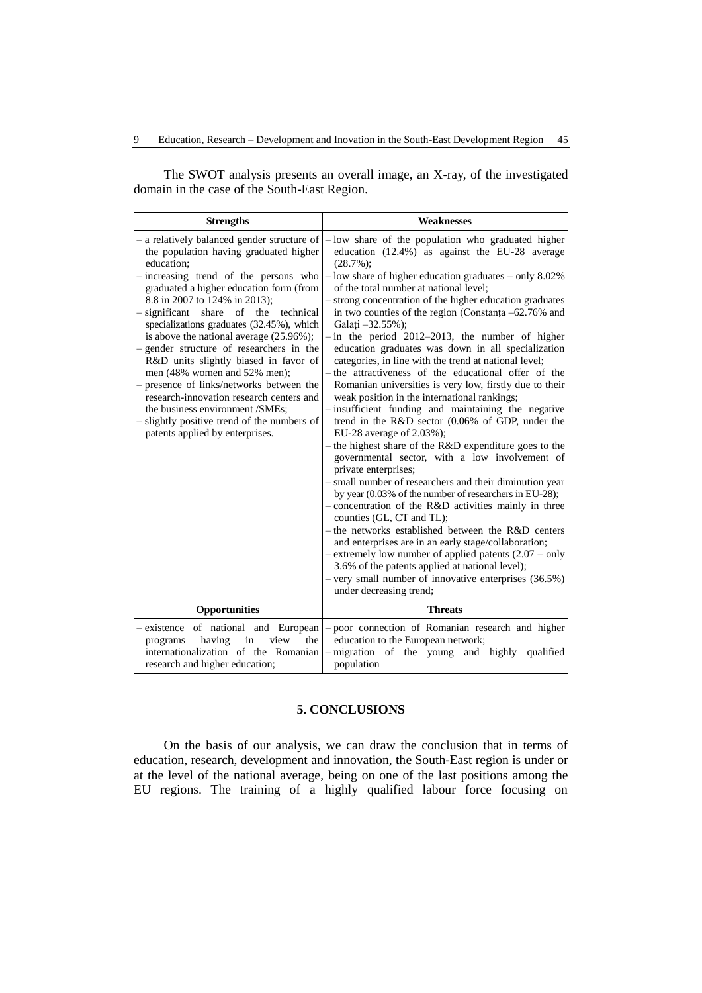The SWOT analysis presents an overall image, an X-ray, of the investigated domain in the case of the South-East Region.

| <b>Strengths</b>                                                                                                                                                                                                                                                                                                                                                                                                                                                                                                                                                                                                                                                                                    | <b>Weaknesses</b>                                                                                                                                                                                                                                                                                                                                                                                                                                                                                                                                                                                                                                                                                                                                                                                                                                                                                                                                                                                                                                                                                                                                                                                                                                                                                                                                                                                                                                                                                                             |
|-----------------------------------------------------------------------------------------------------------------------------------------------------------------------------------------------------------------------------------------------------------------------------------------------------------------------------------------------------------------------------------------------------------------------------------------------------------------------------------------------------------------------------------------------------------------------------------------------------------------------------------------------------------------------------------------------------|-------------------------------------------------------------------------------------------------------------------------------------------------------------------------------------------------------------------------------------------------------------------------------------------------------------------------------------------------------------------------------------------------------------------------------------------------------------------------------------------------------------------------------------------------------------------------------------------------------------------------------------------------------------------------------------------------------------------------------------------------------------------------------------------------------------------------------------------------------------------------------------------------------------------------------------------------------------------------------------------------------------------------------------------------------------------------------------------------------------------------------------------------------------------------------------------------------------------------------------------------------------------------------------------------------------------------------------------------------------------------------------------------------------------------------------------------------------------------------------------------------------------------------|
| - a relatively balanced gender structure of<br>the population having graduated higher<br>education:<br>- increasing trend of the persons who<br>graduated a higher education form (from<br>8.8 in 2007 to 124% in 2013);<br>- significant<br>share<br>of the<br>technical<br>specializations graduates (32.45%), which<br>is above the national average $(25.96\%)$ ;<br>- gender structure of researchers in the<br>R&D units slightly biased in favor of<br>men (48% women and 52% men);<br>presence of links/networks between the<br>research-innovation research centers and<br>the business environment /SMEs;<br>slightly positive trend of the numbers of<br>patents applied by enterprises. | - low share of the population who graduated higher<br>education (12.4%) as against the EU-28 average<br>$(28.7\%)$ ;<br>$-$ low share of higher education graduates $-$ only 8.02%<br>of the total number at national level:<br>- strong concentration of the higher education graduates<br>in two counties of the region (Constanta -62.76% and<br>Galati -32.55%);<br>$-$ in the period 2012–2013, the number of higher<br>education graduates was down in all specialization<br>categories, in line with the trend at national level;<br>the attractiveness of the educational offer of the<br>Romanian universities is very low, firstly due to their<br>weak position in the international rankings;<br>insufficient funding and maintaining the negative<br>trend in the R&D sector (0.06% of GDP, under the<br>EU-28 average of 2.03%);<br>- the highest share of the R&D expenditure goes to the<br>governmental sector, with a low involvement of<br>private enterprises;<br>- small number of researchers and their diminution year<br>by year (0.03% of the number of researchers in EU-28);<br>- concentration of the R&D activities mainly in three<br>counties (GL, CT and TL);<br>- the networks established between the R&D centers<br>and enterprises are in an early stage/collaboration;<br>$-$ extremely low number of applied patents $(2.07 - \text{only})$<br>3.6% of the patents applied at national level);<br>$-$ very small number of innovative enterprises $(36.5\%)$<br>under decreasing trend; |
| Opportunities                                                                                                                                                                                                                                                                                                                                                                                                                                                                                                                                                                                                                                                                                       | <b>Threats</b>                                                                                                                                                                                                                                                                                                                                                                                                                                                                                                                                                                                                                                                                                                                                                                                                                                                                                                                                                                                                                                                                                                                                                                                                                                                                                                                                                                                                                                                                                                                |
| - existence of national and European<br>having<br>in<br>view<br>the<br>programs<br>internationalization of the Romanian<br>research and higher education;                                                                                                                                                                                                                                                                                                                                                                                                                                                                                                                                           | - poor connection of Romanian research and higher<br>education to the European network;<br>- migration of the young and highly qualified<br>population                                                                                                                                                                                                                                                                                                                                                                                                                                                                                                                                                                                                                                                                                                                                                                                                                                                                                                                                                                                                                                                                                                                                                                                                                                                                                                                                                                        |

## **5. CONCLUSIONS**

On the basis of our analysis, we can draw the conclusion that in terms of education, research, development and innovation, the South-East region is under or at the level of the national average, being on one of the last positions among the EU regions. The training of a highly qualified labour force focusing on